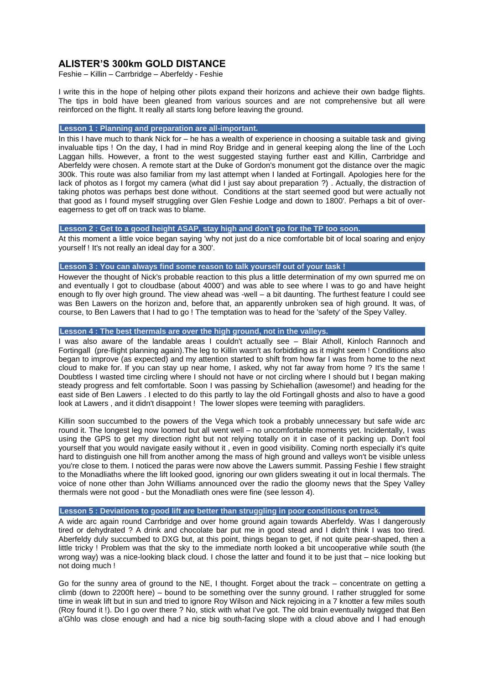# **ALISTER'S 300km GOLD DISTANCE**

Feshie – Killin – Carrbridge – Aberfeldy - Feshie

I write this in the hope of helping other pilots expand their horizons and achieve their own badge flights. The tips in bold have been gleaned from various sources and are not comprehensive but all were reinforced on the flight. It really all starts long before leaving the ground.

### **Lesson 1 : Planning and preparation are all-important.**

In this I have much to thank Nick for – he has a wealth of experience in choosing a suitable task and giving invaluable tips ! On the day, I had in mind Roy Bridge and in general keeping along the line of the Loch Laggan hills. However, a front to the west suggested staying further east and Killin, Carrbridge and Aberfeldy were chosen. A remote start at the Duke of Gordon's monument got the distance over the magic 300k. This route was also familiar from my last attempt when I landed at Fortingall. Apologies here for the lack of photos as I forgot my camera (what did I just say about preparation ?) . Actually, the distraction of taking photos was perhaps best done without. Conditions at the start seemed good but were actually not that good as I found myself struggling over Glen Feshie Lodge and down to 1800'. Perhaps a bit of overeagerness to get off on track was to blame.

# **Lesson 2 : Get to a good height ASAP, stay high and don't go for the TP too soon.**

At this moment a little voice began saying 'why not just do a nice comfortable bit of local soaring and enjoy yourself ! It's not really an ideal day for a 300'.

### **Lesson 3 : You can always find some reason to talk yourself out of your task !**

However the thought of Nick's probable reaction to this plus a little determination of my own spurred me on and eventually I got to cloudbase (about 4000') and was able to see where I was to go and have height enough to fly over high ground. The view ahead was -well – a bit daunting. The furthest feature I could see was Ben Lawers on the horizon and, before that, an apparently unbroken sea of high ground. It was, of course, to Ben Lawers that I had to go ! The temptation was to head for the 'safety' of the Spey Valley.

### **Lesson 4 : The best thermals are over the high ground, not in the valleys.**

I was also aware of the landable areas I couldn't actually see – Blair Atholl, Kinloch Rannoch and Fortingall (pre-flight planning again).The leg to Killin wasn't as forbidding as it might seem ! Conditions also began to improve (as expected) and my attention started to shift from how far I was from home to the next cloud to make for. If you can stay up near home, I asked, why not far away from home ? It's the same ! Doubtless I wasted time circling where I should not have or not circling where I should but I began making steady progress and felt comfortable. Soon I was passing by Schiehallion (awesome!) and heading for the east side of Ben Lawers . I elected to do this partly to lay the old Fortingall ghosts and also to have a good look at Lawers, and it didn't disappoint ! The lower slopes were teeming with paragliders.

Killin soon succumbed to the powers of the Vega which took a probably unnecessary but safe wide arc round it. The longest leg now loomed but all went well – no uncomfortable moments yet. Incidentally, I was using the GPS to get my direction right but not relying totally on it in case of it packing up. Don't fool yourself that you would navigate easily without it , even in good visibility. Coming north especially it's quite hard to distinguish one hill from another among the mass of high ground and valleys won't be visible unless you're close to them. I noticed the paras were now above the Lawers summit. Passing Feshie I flew straight to the Monadliaths where the lift looked good, ignoring our own gliders sweating it out in local thermals. The voice of none other than John Williams announced over the radio the gloomy news that the Spey Valley thermals were not good - but the Monadliath ones were fine (see lesson 4).

#### **Lesson 5 : Deviations to good lift are better than struggling in poor conditions on track.**

A wide arc again round Carrbridge and over home ground again towards Aberfeldy. Was I dangerously tired or dehydrated ? A drink and chocolate bar put me in good stead and I didn't think I was too tired. Aberfeldy duly succumbed to DXG but, at this point, things began to get, if not quite pear-shaped, then a little tricky ! Problem was that the sky to the immediate north looked a bit uncooperative while south (the wrong way) was a nice-looking black cloud. I chose the latter and found it to be just that – nice looking but not doing much !

Go for the sunny area of ground to the NE, I thought. Forget about the track – concentrate on getting a climb (down to 2200ft here) – bound to be something over the sunny ground. I rather struggled for some time in weak lift but in sun and tried to ignore Roy Wilson and Nick rejoicing in a 7 knotter a few miles south (Roy found it !). Do I go over there ? No, stick with what I've got. The old brain eventually twigged that Ben a'Ghlo was close enough and had a nice big south-facing slope with a cloud above and I had enough